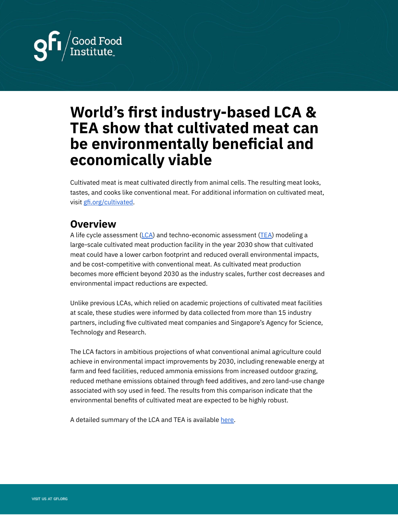

# **World's first industry-based LCA & TEA show that cultivated meat can be environmentally beneficial and economically viable**

Cultivated meat is meat cultivated directly from animal cells. The resulting meat looks, tastes, and cooks like conventional meat. For additional information on cultivated meat, visit [gfi.org/cultivated.](https://gfi.org/cultivated/)

## **Overview**

A life cycle assessment  $(\mathsf{LCA})$  $(\mathsf{LCA})$  $(\mathsf{LCA})$  and techno-economic assessment [\(TEA](https://www.cedelft.eu/en/publications/2609/tea-of-cultivated-meat-future-projections-of-different-scenarios)) modeling a large-scale cultivated meat production facility in the year 2030 show that cultivated meat could have a lower carbon footprint and reduced overall environmental impacts, and be cost-competitive with conventional meat. As cultivated meat production becomes more efficient beyond 2030 as the industry scales, further cost decreases and environmental impact reductions are expected.

Unlike previous LCAs, which relied on academic projections of cultivated meat facilities at scale, these studies were informed by data collected from more than 15 industry partners, including five cultivated meat companies and Singapore's Agency for Science, Technology and Research.

The LCA factors in ambitious projections of what conventional animal agriculture could achieve in environmental impact improvements by 2030, including renewable energy at farm and feed facilities, reduced ammonia emissions from increased outdoor grazing, reduced methane emissions obtained through feed additives, and zero land-use change associated with soy used in feed. The results from this comparison indicate that the environmental benefits of cultivated meat are expected to be highly robust.

A detailed summary of the LCA and TEA is available [here.](https://gfi.org/wp-content/uploads/2021/03/cultured-meat-LCA-TEA-policy.pdf)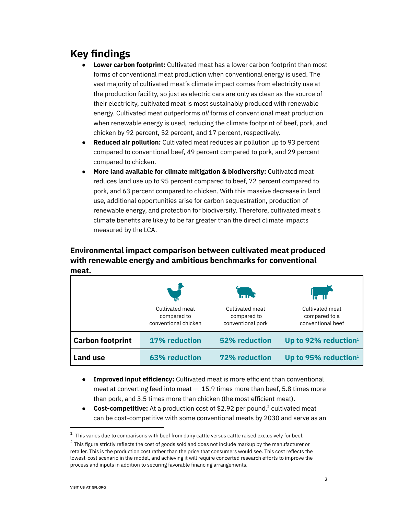# **Key findings**

- **Lower carbon footprint:** Cultivated meat has a lower carbon footprint than most forms of conventional meat production when conventional energy is used. The vast majority of cultivated meat's climate impact comes from electricity use at the production facility, so just as electric cars are only as clean as the source of their electricity, cultivated meat is most sustainably produced with renewable energy. Cultivated meat outperforms *all* forms of conventional meat production when renewable energy is used, reducing the climate footprint of beef, pork, and chicken by 92 percent, 52 percent, and 17 percent, respectively.
- **Reduced air pollution:** Cultivated meat reduces air pollution up to 93 percent compared to conventional beef, 49 percent compared to pork, and 29 percent compared to chicken.
- **More land available for climate mitigation & biodiversity:** Cultivated meat reduces land use up to 95 percent compared to beef, 72 percent compared to pork, and 63 percent compared to chicken. With this massive decrease in land use, additional opportunities arise for carbon sequestration, production of renewable energy, and protection for biodiversity. Therefore, cultivated meat's climate benefits are likely to be far greater than the direct climate impacts measured by the LCA.

#### **Environmental impact comparison between cultivated meat produced with renewable energy and ambitious benchmarks for conventional meat.**

|                         |                                                        | <b>And</b>                                          |                                                       |
|-------------------------|--------------------------------------------------------|-----------------------------------------------------|-------------------------------------------------------|
|                         | Cultivated meat<br>compared to<br>conventional chicken | Cultivated meat<br>compared to<br>conventional pork | Cultivated meat<br>compared to a<br>conventional beef |
| <b>Carbon footprint</b> | <b>17% reduction</b>                                   | <b>52% reduction</b>                                | Up to 92% reduction <sup>1</sup>                      |
| <b>Land use</b>         | <b>63% reduction</b>                                   | <b>72% reduction</b>                                | Up to 95% reduction <sup>1</sup>                      |

- **Improved input efficiency:** Cultivated meat is more efficient than conventional meat at converting feed into meat  $-15.9$  times more than beef, 5.8 times more than pork, and 3.5 times more than chicken (the most efficient meat).
- **Cost-competitive:** At a production cost of \$2.92 per pound,<sup>2</sup> cultivated meat can be cost-competitive with some conventional meats by 2030 and serve as an

 $1$  This varies due to comparisons with beef from dairy cattle versus cattle raised exclusively for beef.

 $2$  This figure strictly reflects the cost of goods sold and does not include markup by the manufacturer or retailer. This is the production cost rather than the price that consumers would see. This cost reflects the lowest-cost scenario in the model, and achieving it will require concerted research efforts to improve the process and inputs in addition to securing favorable financing arrangements.